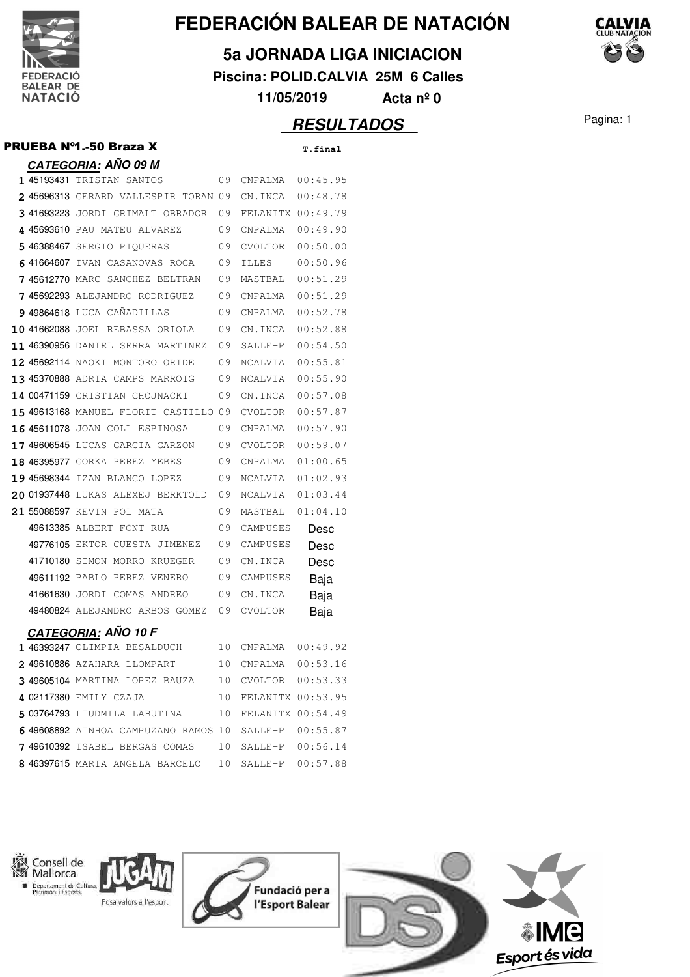

**5a JORNADA LIGA INICIACION**

**Piscina: POLID.CALVIA 25M 6 Calles**

**11/05/2019 Acta nº 0**

#### **RESULTADOS** Pagina: 1

#### **CATEGORIA: AÑO 09 M** 1 45193431 TRISTAN SANTOS 09 CNPALMA 00:45.95 2 45696313 GERARD VALLESPIR TORAN 09 CN.INCA 00:48.78  **3** 41693223 JORDI GRIMALT OBRADOR 00:49.79 09 FELANITX 4 45693610 PAU MATEU ALVAREZ 09 CNPALMA 00:49.90 **5** 46388467 SERGIO PIQUERAS 09 CVOLTOR 00:50.00 **6** 41664607 IVAN CASANOVAS ROCA 09 ILLES 00:50.96 **7** 45612770 MARC SANCHEZ BELTRAN 09 MASTBAL 00:51.29  **7** 45692293 ALEJANDRO RODRIGUEZ 00:51.29 09 CNPALMA **9** 49864618 LUCA CAÑADILLAS 09 CNPALMA 00:52.78  **10** 41662088 JOEL REBASSA ORIOLA 00:52.88 09 CN.INCA 11 46390956 DANIEL SERRA MARTINEZ 09 SALLE-P 00:54.50  **12** 45692114 NAOKI MONTORO ORIDE 00:55.81 09 NCALVIA  **13** 45370888 ADRIA CAMPS MARROIG 00:55.90 09 NCALVIA  **14** 00471159 CRISTIAN CHOJNACKI 00:57.08 09 CN.INCA 15 49613168 MANUEL FLORIT CASTILLO 09 CVOLTOR 00:57.87 **16 45611078** JOAN COLL ESPINOSA 09 CNPALMA 00:57.90 17 49606545 LUCAS GARCIA GARZON 09 CVOLTOR 00:59.07 18 46395977 GORKA PEREZ YEBES 09 CNPALMA 01:00.65 **19 45698344** IZAN BLANCO LOPEZ 09 NCALVIA 01:02.93 **20 01937448** LUKAS ALEXEJ BERKTOLD 09 NCALVIA 01:03.44 21 55088597 KEVIN POL MATA 09 MASTBAL 01:04.10 49613385 ALBERT FONT RUA 09 CAMPUSES Desc 49776105 EKTOR CUESTA JIMENEZ 09 CAMPUSES Desc 41710180 SIMON MORRO KRUEGER 09 CN.INCA Desc 49611192 PABLO PEREZ VENERO 09 CAMPUSES Baja 41661630 JORDI COMAS ANDREO 09 CN.INCA Baja 49480824 ALEJANDRO ARBOS GOMEZ 09 CVOLTOR Baja **CATEGORIA: AÑO 10 F 1** 46393247 OLIMPIA BESALDUCH 10 CNPALMA 00:49.92 **2 49610886** AZAHARA LLOMPART 10 CNPALMA 00:53.16 **3 49605104 MARTINA LOPEZ BAUZA 10 CVOLTOR 00:53.33** 4 02117380 EMILY CZAJA 10 FELANITX 00:53.95 **5** 03764793 LIUDMILA LABUTINA 10 FELANITX 00:54.49 **6** 49608892 AINHOA CAMPUZANO RAMOS 10 SALLE-P 00:55.87 **7** 49610392 ISABEL BERGAS COMAS 10 SALLE-P 00:56.14 **8** 46397615 MARIA ANGELA BARCELO 10 SALLE-P 00:57.88

**PRUEBA Nº1.-50 Braza X** T.final



Consell de Departament de Cultura,<br>Patrimoni i Esports Posa valors a l'esport







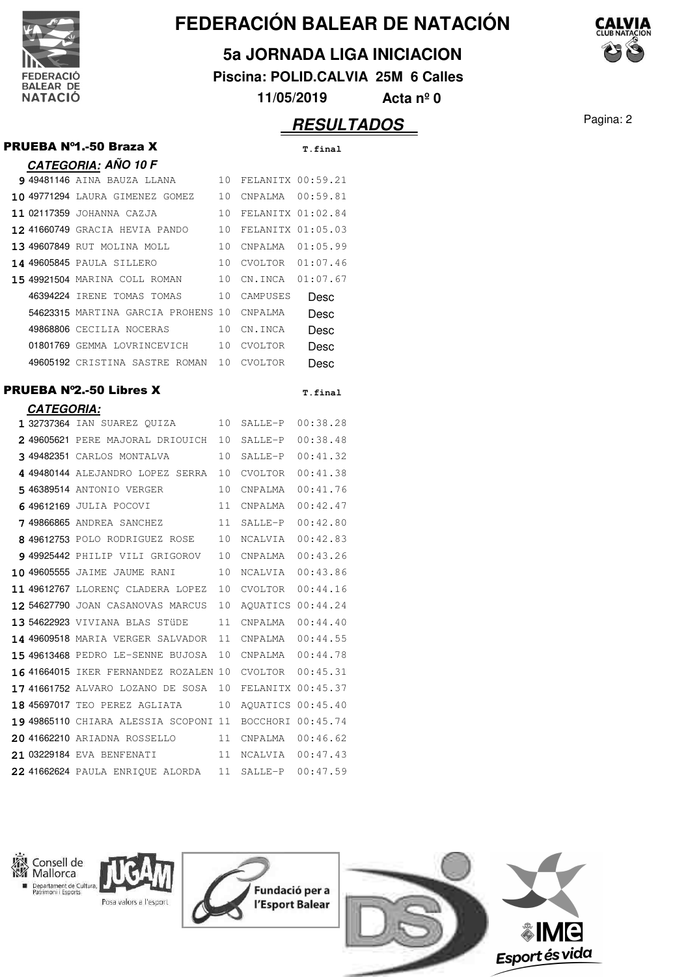

**5a JORNADA LIGA INICIACION**

**Piscina: POLID.CALVIA 25M 6 Calles**

**11/05/2019 Acta nº 0**

### Pagina: 2 **RESULTADOS**

|                   | <b>PRUEBA Nº1.-50 Braza X</b>                          |          |                    | T.final           |
|-------------------|--------------------------------------------------------|----------|--------------------|-------------------|
|                   | <b>CATEGORIA: AÑO 10 F</b>                             |          |                    |                   |
|                   | <b>9 49481146</b> AINA BAUZA LLANA                     | 10       | FELANITX 00:59.21  |                   |
|                   | 10 49771294 LAURA GIMENEZ GOMEZ 10                     |          | CNPALMA            | 00:59.81          |
|                   | 11 02117359 JOHANNA CAZJA                              | 10       | FELANITX 01:02.84  |                   |
|                   | <b>12 41660749</b> GRACIA HEVIA PANDO                  | 10       | FELANITX 01:05.03  |                   |
|                   | 13 49607849 RUT MOLINA MOLL                            | 10       | CNPALMA            | 01:05.99          |
|                   | 14 49605845 PAULA SILLERO                              | 10       | CVOLTOR            | 01:07.46          |
|                   | 15 49921504 MARINA COLL ROMAN                          | 10       | CN.INCA            | 01:07.67          |
|                   | 46394224 IRENE TOMAS TOMAS                             | 10       | CAMPUSES           | Desc              |
|                   | 54623315 MARTINA GARCIA PROHENS 10                     |          | CNPALMA            | Desc              |
|                   | 49868806 CECILIA NOCERAS                               | 10       | CN.INCA            | Desc              |
|                   | 01801769 GEMMA LOVRINCEVICH                            | 10       | <b>CVOLTOR</b>     | Desc              |
|                   | 49605192 CRISTINA SASTRE ROMAN 10                      |          | CVOLTOR            | Desc              |
|                   | <b>PRUEBA Nº2.-50 Libres X</b>                         |          |                    | T.final           |
| <b>CATEGORIA:</b> | 1 32737364 IAN SUAREZ OUIZA                            |          | SALLE-P            | 00:38.28          |
|                   | 249605621 PERE MAJORAL DRIOUICH                        | 10<br>10 |                    | 00:38.48          |
|                   | 3 49482351 CARLOS MONTALVA                             | 10       | SALLE-P<br>SALLE-P | 00:41.32          |
|                   | 4 49480144 ALEJANDRO LOPEZ SERRA                       | 10       | CVOLTOR            | 00:41.38          |
|                   | <b>5 46389514</b> ANTONIO VERGER                       | 10       | CNPALMA            | 00:41.76          |
|                   | 6 49612169 JULIA POCOVI                                | 11       | CNPALMA            | 00:42.47          |
|                   | <b>7 49866865</b> ANDREA SANCHEZ                       | 11       | SALLE-P            | 00:42.80          |
|                   | 8 49612753 POLO RODRIGUEZ ROSE                         | 10       | NCALVIA            | 00:42.83          |
|                   | 9 49925442 PHILIP VILI GRIGOROV                        | 10       | CNPALMA            | 00:43.26          |
|                   | 10 49605555 JAIME JAUME RANI                           | 10       | NCALVIA            | 00:43.86          |
|                   | 11 49612767 LLORENÇ CLADERA LOPEZ                      | 10       | <b>CVOLTOR</b>     | 00:44.16          |
|                   | 12 54627790 JOAN CASANOVAS MARCUS                      | 10       | AQUATICS 00:44.24  |                   |
|                   | 13 54622923 VIVIANA BLAS STÜDE                         | 11       | CNPALMA            | 00:44.40          |
|                   | 14 49609518 MARIA VERGER SALVADOR                      | 11       | CNPALMA            | 00:44.55          |
|                   | 15 49613468 PEDRO LE-SENNE BUJOSA                      | 10       | CNPALMA            | 00:44.78          |
|                   | 16 41664015 IKER FERNANDEZ ROZALEN 10 CVOLTOR 00:45.31 |          |                    |                   |
|                   | 17 41661752 ALVARO LOZANO DE SOSA 10                   |          | FELANITX 00:45.37  |                   |
|                   | 18 45697017 TEO PEREZ AGLIATA                          | 10       | AQUATICS 00:45.40  |                   |
|                   | 19 49865110 CHIARA ALESSIA SCOPONI 11                  |          |                    | BOCCHORI 00:45.74 |
|                   | 20 41662210 ARIADNA ROSSELLO                           | 11       |                    | CNPALMA  00:46.62 |
|                   | 21 03229184 EVA BENFENATI                              | 11       |                    | NCALVIA 00:47.43  |
|                   | 22 41662624 PAULA ENRIQUE ALORDA                       | 11       |                    | SALLE-P 00:47.59  |
|                   |                                                        |          |                    |                   |



Consell de<br>Mallorca Departament de Cultura, Posa valors a l'esport







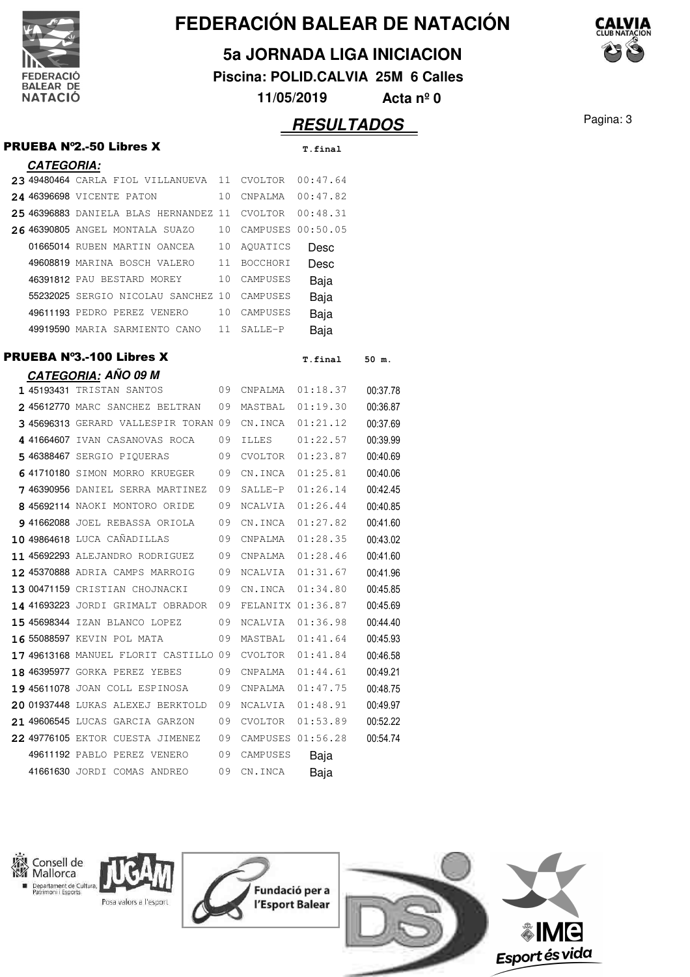

**5a JORNADA LIGA INICIACION**

**Piscina: POLID.CALVIA 25M 6 Calles**

**11/05/2019 Acta nº 0**

## Pagina: 3 **RESULTADOS**

#### PRUEBA N°2.-50 Libres X T.final

**CATEGORIA:**

|  | 23 49480464 CARLA FIOL VILLANUEVA     | 11 | CVOLTOR           | 00:47.64 |          |
|--|---------------------------------------|----|-------------------|----------|----------|
|  | 24 46396698 VICENTE PATON             | 10 | CNPALMA           | 00:47.82 |          |
|  | 25 46396883 DANIELA BLAS HERNANDEZ 11 |    | CVOLTOR           | 00:48.31 |          |
|  | 26 46390805 ANGEL MONTALA SUAZO       | 10 | CAMPUSES 00:50.05 |          |          |
|  | 01665014 RUBEN MARTIN OANCEA          | 10 | AQUATICS          | Desc     |          |
|  | 49608819 MARINA BOSCH VALERO          | 11 | <b>BOCCHORI</b>   | Desc     |          |
|  | 46391812 PAU BESTARD MOREY            | 10 | CAMPUSES          | Baja     |          |
|  | 55232025 SERGIO NICOLAU SANCHEZ 10    |    | CAMPUSES          | Baja     |          |
|  | 49611193 PEDRO PEREZ VENERO           | 10 | CAMPUSES          | Baja     |          |
|  | 49919590 MARIA SARMIENTO CANO         | 11 | SALLE-P           | Baja     |          |
|  |                                       |    |                   |          |          |
|  | <b>PRUEBA N°3.-100 Libres X</b>       |    |                   | T.final  | 50 m.    |
|  | <b>CATEGORIA: AÑO 09 M</b>            |    |                   |          |          |
|  | 1 45193431 TRISTAN SANTOS             | 09 | CNPALMA           | 01:18.37 | 00:37.78 |
|  | 2 45612770 MARC SANCHEZ BELTRAN       | 09 | MASTBAL           | 01:19.30 | 00:36.87 |
|  | 3 45696313 GERARD VALLESPIR TORAN 09  |    | CN.INCA           | 01:21.12 | 00:37.69 |
|  | 4 41664607 IVAN CASANOVAS ROCA        | 09 | <b>ILLES</b>      | 01:22.57 | 00:39.99 |
|  | 5 46388467 SERGIO PIQUERAS            | 09 | CVOLTOR           | 01:23.87 | 00:40.69 |
|  | 6 41710180 SIMON MORRO KRUEGER        | 09 | CN.INCA           | 01:25.81 | 00:40.06 |
|  | 746390956 DANIEL SERRA MARTINEZ       | 09 | SALLE-P           | 01:26.14 | 00:42.45 |
|  | 8 45692114 NAOKI MONTORO ORIDE        | 09 | NCALVIA           | 01:26.44 | 00:40.85 |
|  | 9 41662088 JOEL REBASSA ORIOLA        | 09 | CN.INCA           | 01:27.82 | 00:41.60 |
|  | 10 49864618 LUCA CANADILLAS           | 09 | CNPALMA           | 01:28.35 | 00:43.02 |
|  | 11 45692293 ALEJANDRO RODRIGUEZ       | 09 | CNPALMA           | 01:28.46 | 00:41.60 |
|  | 12 45370888 ADRIA CAMPS MARROIG       | 09 | NCALVIA           | 01:31.67 | 00:41.96 |
|  | 13 00471159 CRISTIAN CHOJNACKI        | 09 | CN.INCA           | 01:34.80 | 00:45.85 |
|  | 14 41693223 JORDI GRIMALT OBRADOR     | 09 | FELANITX 01:36.87 |          | 00:45.69 |
|  | 15 45698344 IZAN BLANCO LOPEZ         | 09 | NCALVIA           | 01:36.98 | 00:44.40 |
|  | 16 55088597 KEVIN POL MATA            | 09 | MASTBAL           | 01:41.64 | 00:45.93 |
|  | 17 49613168 MANUEL FLORIT CASTILLO 09 |    | <b>CVOLTOR</b>    | 01:41.84 | 00:46.58 |
|  | 18 46395977 GORKA PEREZ YEBES         | 09 | CNPALMA           | 01:44.61 | 00:49.21 |
|  | 19 45611078 JOAN COLL ESPINOSA        | 09 | CNPALMA           | 01:47.75 | 00:48.75 |
|  | 20 01937448 LUKAS ALEXEJ BERKTOLD     | 09 | NCALVIA           | 01:48.91 | 00:49.97 |
|  | 21 49606545 LUCAS GARCIA GARZON       | 09 | CVOLTOR           | 01:53.89 | 00:52.22 |
|  | 22 49776105 EKTOR CUESTA JIMENEZ      | 09 | CAMPUSES 01:56.28 |          | 00:54.74 |
|  | 49611192 PABLO PEREZ VENERO           | 09 | CAMPUSES          | Baja     |          |
|  | 41661630 JORDI COMAS ANDREO           | 09 | CN.INCA           | Baja     |          |



Consell de Mallorca Departament de Cultura, Posa valors a l'esport







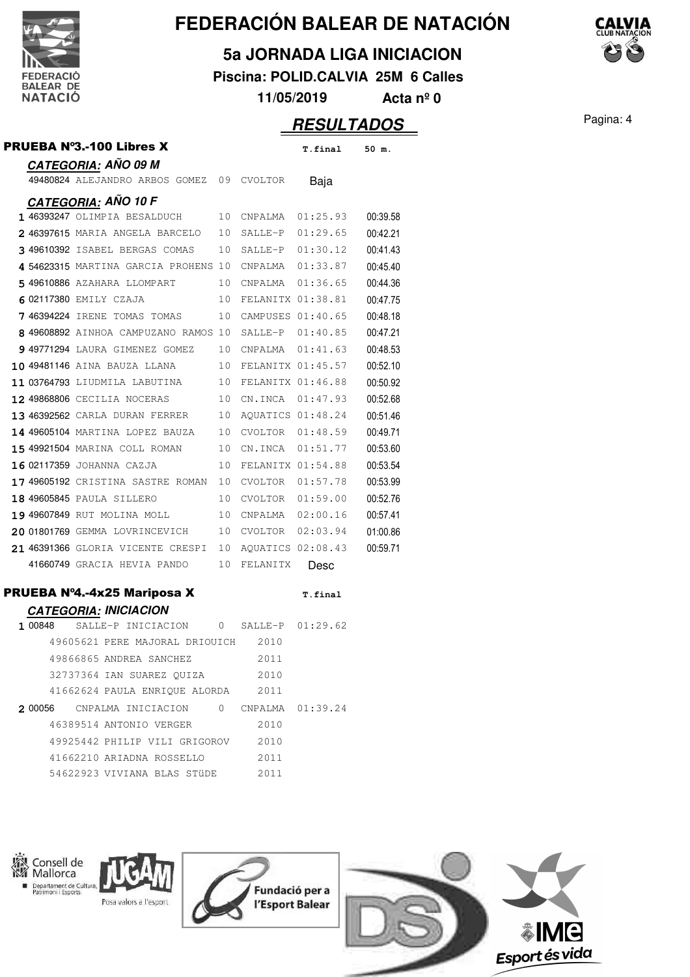

**5a JORNADA LIGA INICIACION**

**Piscina: POLID.CALVIA 25M 6 Calles**

**11/05/2019 Acta nº 0**

### **RESULTADOS** Pagina: 4

|         |                                           |                |                   | - - -    | .        |
|---------|-------------------------------------------|----------------|-------------------|----------|----------|
|         | <b>PRUEBA N°3.-100 Libres X</b>           |                |                   | T.final  | 50 m.    |
|         | <b>CATEGORIA: AÑO 09 M</b>                |                |                   |          |          |
|         | 49480824 ALEJANDRO ARBOS GOMEZ 09 CVOLTOR |                |                   | Baja     |          |
|         | <b>CATEGORIA: AÑO 10 F</b>                |                |                   |          |          |
|         | 1 46393247 OLIMPIA BESALDUCH              | 10             | CNPALMA           | 01:25.93 | 00:39.58 |
|         | 2 46397615 MARIA ANGELA BARCELO           | 10             | $SALLE-P$         | 01:29.65 | 00:42.21 |
|         | 3 49610392 ISABEL BERGAS COMAS            | 10             | SALLE-P           | 01:30.12 | 00:41.43 |
|         | 4 54623315 MARTINA GARCIA PROHENS 10      |                | CNPALMA           | 01:33.87 | 00:45.40 |
|         | 5 49610886 AZAHARA LLOMPART               | 10             | CNPALMA           | 01:36.65 | 00:44.36 |
|         | 6 02117380 EMILY CZAJA                    | 10             | FELANITX 01:38.81 |          | 00:47.75 |
|         | 7 46394224 IRENE TOMAS TOMAS              | 10             | CAMPUSES 01:40.65 |          | 00:48.18 |
|         | 8 49608892 AINHOA CAMPUZANO RAMOS 10      |                | SALLE-P           | 01:40.85 | 00:47.21 |
|         | 9 49771294 LAURA GIMENEZ GOMEZ            | 10             | CNPALMA           | 01:41.63 | 00:48.53 |
|         | 10 49481146 AINA BAUZA LLANA              | 10             | FELANITX 01:45.57 |          | 00:52.10 |
|         | 11 03764793 LIUDMILA LABUTINA             | 10             | FELANITX 01:46.88 |          | 00:50.92 |
|         | 12 49868806 CECILIA NOCERAS               | 10             | CN.INCA           | 01:47.93 | 00:52.68 |
|         | 13 46392562 CARLA DURAN FERRER            | 10             | AOUATICS 01:48.24 |          | 00:51.46 |
|         | 14 49605104 MARTINA LOPEZ BAUZA           | 10             | CVOLTOR 01:48.59  |          | 00:49.71 |
|         | 15 49921504 MARINA COLL ROMAN             | 10             | CN.INCA           | 01:51.77 | 00:53.60 |
|         | 16 02117359 JOHANNA CAZJA                 | 10             | FELANITX 01:54.88 |          | 00:53.54 |
|         | 17 49605192 CRISTINA SASTRE ROMAN         | 10             | CVOLTOR 01:57.78  |          | 00:53.99 |
|         | 18 49605845 PAULA SILLERO                 | 10             | CVOLTOR 01:59.00  |          | 00:52.76 |
|         | 19 49607849 RUT MOLINA MOLL               | 10             | CNPALMA 02:00.16  |          | 00:57.41 |
|         | 20 01801769 GEMMA LOVRINCEVICH            | 10             | CVOLTOR           | 02:03.94 | 01:00.86 |
|         | 21 46391366 GLORIA VICENTE CRESPI         | 10             | AQUATICS 02:08.43 |          | 00:59.71 |
|         | 41660749 GRACIA HEVIA PANDO               | 10             | FELANITX          | Desc     |          |
|         | PRUEBA Nº4.-4x25 Mariposa X               |                |                   | T.final  |          |
|         | <b>CATEGORIA: INICIACION</b>              |                |                   |          |          |
| 1 00848 | SALLE-P INICIACION                        | $\overline{0}$ | SALLE-P           | 01:29.62 |          |
|         | 49605621 PERE MAJORAL DRIOUICH            |                | 2010              |          |          |
|         | 49866865 ANDREA SANCHEZ                   |                | 2011              |          |          |
|         | 32737364 IAN SUAREZ OUIZA                 |                | 2010              |          |          |
|         | 41662624 PAULA ENRIOUE ALORDA             |                | 2011              |          |          |
| 2 00056 | CNPALMA INICIACION                        | $\circ$        | CNPALMA           | 01:39.24 |          |
|         | 46389514 ANTONIO VERGER                   |                | 2010              |          |          |



49925442 PHILIP VILI GRIGOROV 41662210 ARIADNA ROSSELLO 54622923 VIVIANA BLAS STÜDE

> Fundació per a Posa valors a l'esport l'Esport Balear